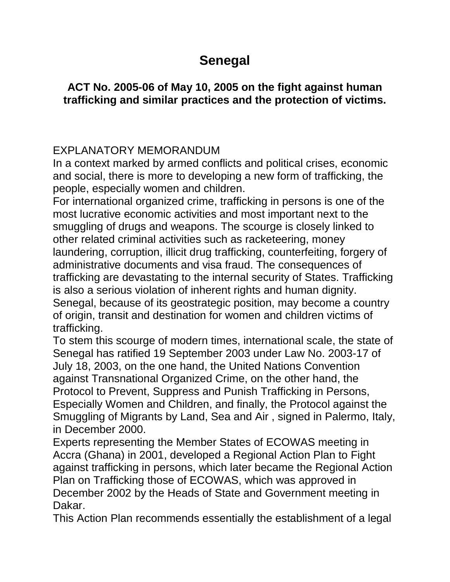## **Senegal**

## **ACT No. 2005-06 of May 10, 2005 on the fight against human trafficking and similar practices and the protection of victims.**

## EXPLANATORY MEMORANDUM

In a context marked by armed conflicts and political crises, economic and social, there is more to developing a new form of trafficking, the people, especially women and children.

For international organized crime, trafficking in persons is one of the most lucrative economic activities and most important next to the smuggling of drugs and weapons. The scourge is closely linked to other related criminal activities such as racketeering, money laundering, corruption, illicit drug trafficking, counterfeiting, forgery of administrative documents and visa fraud. The consequences of trafficking are devastating to the internal security of States. Trafficking is also a serious violation of inherent rights and human dignity. Senegal, because of its geostrategic position, may become a country of origin, transit and destination for women and children victims of trafficking.

To stem this scourge of modern times, international scale, the state of Senegal has ratified 19 September 2003 under Law No. 2003-17 of July 18, 2003, on the one hand, the United Nations Convention against Transnational Organized Crime, on the other hand, the Protocol to Prevent, Suppress and Punish Trafficking in Persons, Especially Women and Children, and finally, the Protocol against the Smuggling of Migrants by Land, Sea and Air , signed in Palermo, Italy, in December 2000.

Experts representing the Member States of ECOWAS meeting in Accra (Ghana) in 2001, developed a Regional Action Plan to Fight against trafficking in persons, which later became the Regional Action Plan on Trafficking those of ECOWAS, which was approved in December 2002 by the Heads of State and Government meeting in Dakar.

This Action Plan recommends essentially the establishment of a legal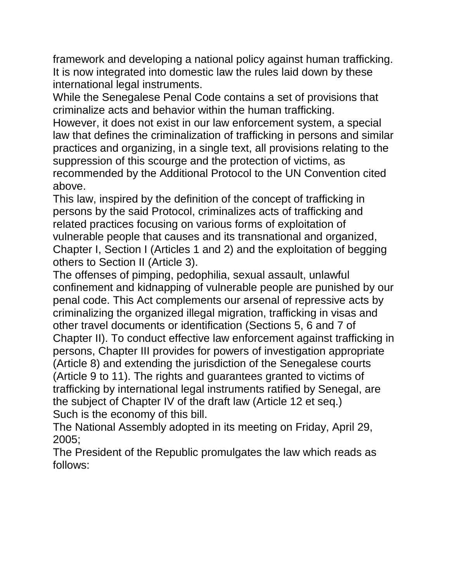framework and developing a national policy against human trafficking. It is now integrated into domestic law the rules laid down by these international legal instruments.

While the Senegalese Penal Code contains a set of provisions that criminalize acts and behavior within the human trafficking.

However, it does not exist in our law enforcement system, a special law that defines the criminalization of trafficking in persons and similar practices and organizing, in a single text, all provisions relating to the suppression of this scourge and the protection of victims, as recommended by the Additional Protocol to the UN Convention cited above.

This law, inspired by the definition of the concept of trafficking in persons by the said Protocol, criminalizes acts of trafficking and related practices focusing on various forms of exploitation of vulnerable people that causes and its transnational and organized, Chapter I, Section I (Articles 1 and 2) and the exploitation of begging others to Section II (Article 3).

The offenses of pimping, pedophilia, sexual assault, unlawful confinement and kidnapping of vulnerable people are punished by our penal code. This Act complements our arsenal of repressive acts by criminalizing the organized illegal migration, trafficking in visas and other travel documents or identification (Sections 5, 6 and 7 of Chapter II). To conduct effective law enforcement against trafficking in persons, Chapter III provides for powers of investigation appropriate (Article 8) and extending the jurisdiction of the Senegalese courts (Article 9 to 11). The rights and guarantees granted to victims of trafficking by international legal instruments ratified by Senegal, are the subject of Chapter IV of the draft law (Article 12 et seq.) Such is the economy of this bill.

The National Assembly adopted in its meeting on Friday, April 29, 2005;

The President of the Republic promulgates the law which reads as follows: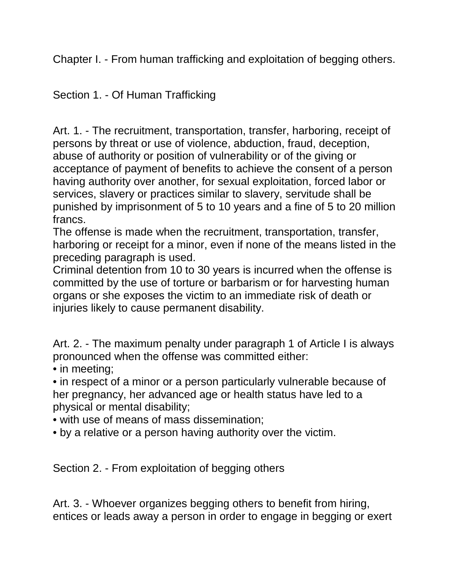Chapter I. - From human trafficking and exploitation of begging others.

Section 1. - Of Human Trafficking

Art. 1. - The recruitment, transportation, transfer, harboring, receipt of persons by threat or use of violence, abduction, fraud, deception, abuse of authority or position of vulnerability or of the giving or acceptance of payment of benefits to achieve the consent of a person having authority over another, for sexual exploitation, forced labor or services, slavery or practices similar to slavery, servitude shall be punished by imprisonment of 5 to 10 years and a fine of 5 to 20 million francs.

The offense is made when the recruitment, transportation, transfer, harboring or receipt for a minor, even if none of the means listed in the preceding paragraph is used.

Criminal detention from 10 to 30 years is incurred when the offense is committed by the use of torture or barbarism or for harvesting human organs or she exposes the victim to an immediate risk of death or injuries likely to cause permanent disability.

Art. 2. - The maximum penalty under paragraph 1 of Article I is always pronounced when the offense was committed either:

• in meeting;

• in respect of a minor or a person particularly vulnerable because of her pregnancy, her advanced age or health status have led to a physical or mental disability;

• with use of means of mass dissemination;

• by a relative or a person having authority over the victim.

Section 2. - From exploitation of begging others

Art. 3. - Whoever organizes begging others to benefit from hiring, entices or leads away a person in order to engage in begging or exert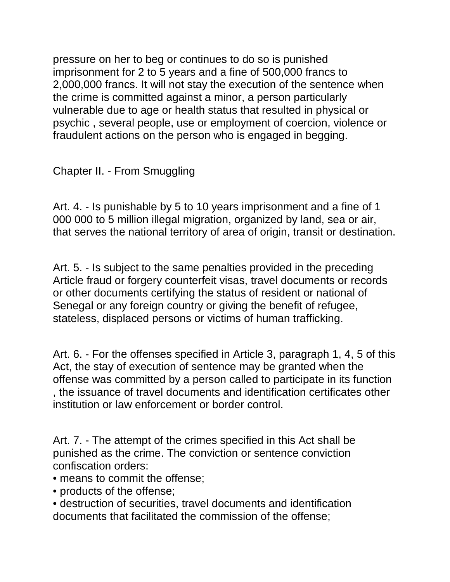pressure on her to beg or continues to do so is punished imprisonment for 2 to 5 years and a fine of 500,000 francs to 2,000,000 francs. It will not stay the execution of the sentence when the crime is committed against a minor, a person particularly vulnerable due to age or health status that resulted in physical or psychic , several people, use or employment of coercion, violence or fraudulent actions on the person who is engaged in begging.

Chapter II. - From Smuggling

Art. 4. - Is punishable by 5 to 10 years imprisonment and a fine of 1 000 000 to 5 million illegal migration, organized by land, sea or air, that serves the national territory of area of origin, transit or destination.

Art. 5. - Is subject to the same penalties provided in the preceding Article fraud or forgery counterfeit visas, travel documents or records or other documents certifying the status of resident or national of Senegal or any foreign country or giving the benefit of refugee, stateless, displaced persons or victims of human trafficking.

Art. 6. - For the offenses specified in Article 3, paragraph 1, 4, 5 of this Act, the stay of execution of sentence may be granted when the offense was committed by a person called to participate in its function , the issuance of travel documents and identification certificates other institution or law enforcement or border control.

Art. 7. - The attempt of the crimes specified in this Act shall be punished as the crime. The conviction or sentence conviction confiscation orders:

- means to commit the offense;
- products of the offense;
- destruction of securities, travel documents and identification documents that facilitated the commission of the offense;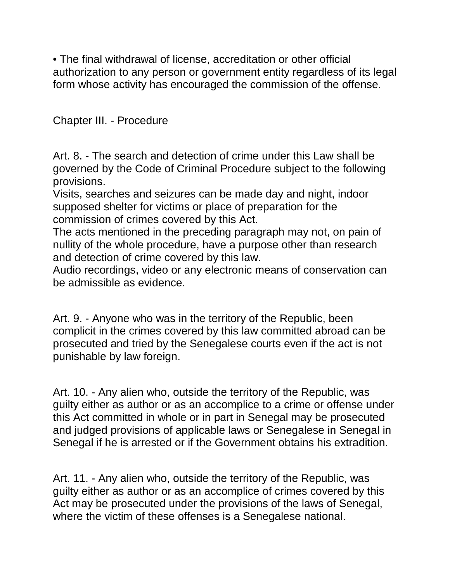• The final withdrawal of license, accreditation or other official authorization to any person or government entity regardless of its legal form whose activity has encouraged the commission of the offense.

Chapter III. - Procedure

Art. 8. - The search and detection of crime under this Law shall be governed by the Code of Criminal Procedure subject to the following provisions.

Visits, searches and seizures can be made day and night, indoor supposed shelter for victims or place of preparation for the commission of crimes covered by this Act.

The acts mentioned in the preceding paragraph may not, on pain of nullity of the whole procedure, have a purpose other than research and detection of crime covered by this law.

Audio recordings, video or any electronic means of conservation can be admissible as evidence.

Art. 9. - Anyone who was in the territory of the Republic, been complicit in the crimes covered by this law committed abroad can be prosecuted and tried by the Senegalese courts even if the act is not punishable by law foreign.

Art. 10. - Any alien who, outside the territory of the Republic, was guilty either as author or as an accomplice to a crime or offense under this Act committed in whole or in part in Senegal may be prosecuted and judged provisions of applicable laws or Senegalese in Senegal in Senegal if he is arrested or if the Government obtains his extradition.

Art. 11. - Any alien who, outside the territory of the Republic, was guilty either as author or as an accomplice of crimes covered by this Act may be prosecuted under the provisions of the laws of Senegal, where the victim of these offenses is a Senegalese national.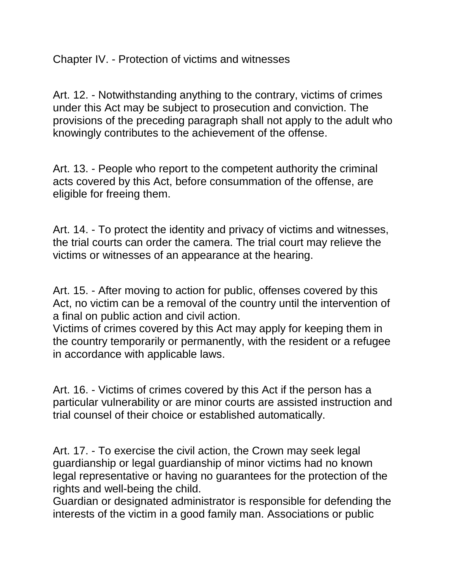Chapter IV. - Protection of victims and witnesses

Art. 12. - Notwithstanding anything to the contrary, victims of crimes under this Act may be subject to prosecution and conviction. The provisions of the preceding paragraph shall not apply to the adult who knowingly contributes to the achievement of the offense.

Art. 13. - People who report to the competent authority the criminal acts covered by this Act, before consummation of the offense, are eligible for freeing them.

Art. 14. - To protect the identity and privacy of victims and witnesses, the trial courts can order the camera. The trial court may relieve the victims or witnesses of an appearance at the hearing.

Art. 15. - After moving to action for public, offenses covered by this Act, no victim can be a removal of the country until the intervention of a final on public action and civil action.

Victims of crimes covered by this Act may apply for keeping them in the country temporarily or permanently, with the resident or a refugee in accordance with applicable laws.

Art. 16. - Victims of crimes covered by this Act if the person has a particular vulnerability or are minor courts are assisted instruction and trial counsel of their choice or established automatically.

Art. 17. - To exercise the civil action, the Crown may seek legal guardianship or legal guardianship of minor victims had no known legal representative or having no guarantees for the protection of the rights and well-being the child.

Guardian or designated administrator is responsible for defending the interests of the victim in a good family man. Associations or public